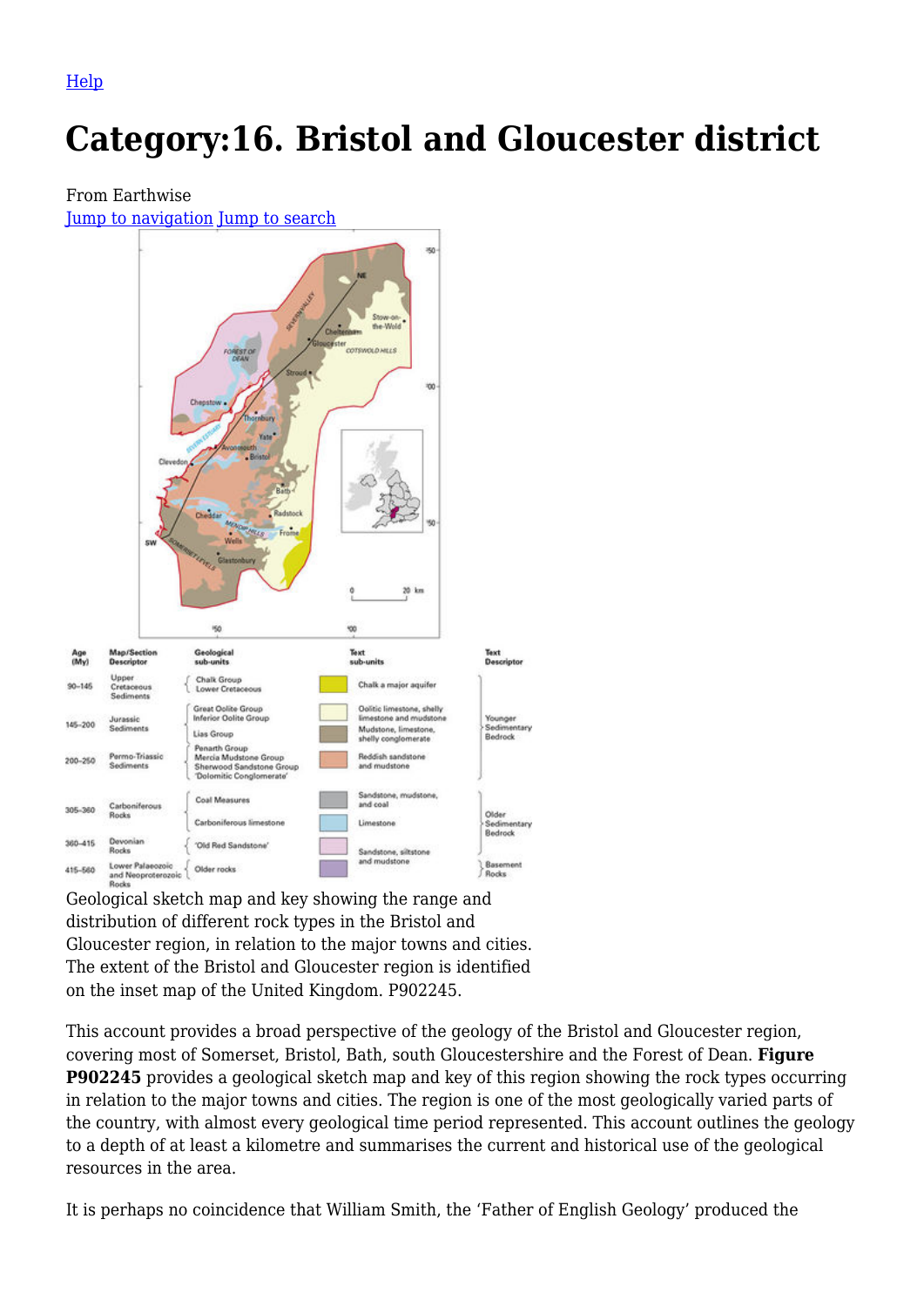[Help](http://www.mediawiki.org/wiki/Special:MyLanguage/Help:Categories)

# **Category:16. Bristol and Gloucester district**

#### From Earthwise

[Jump to navigation](#page--1-0) [Jump to search](#page--1-0)



distribution of different rock types in the Bristol and Gloucester region, in relation to the major towns and cities. The extent of the Bristol and Gloucester region is identified on the inset map of the United Kingdom. P902245.

This account provides a broad perspective of the geology of the Bristol and Gloucester region, covering most of Somerset, Bristol, Bath, south Gloucestershire and the Forest of Dean. **Figure P902245** provides a geological sketch map and key of this region showing the rock types occurring in relation to the major towns and cities. The region is one of the most geologically varied parts of the country, with almost every geological time period represented. This account outlines the geology to a depth of at least a kilometre and summarises the current and historical use of the geological resources in the area.

It is perhaps no coincidence that William Smith, the 'Father of English Geology' produced the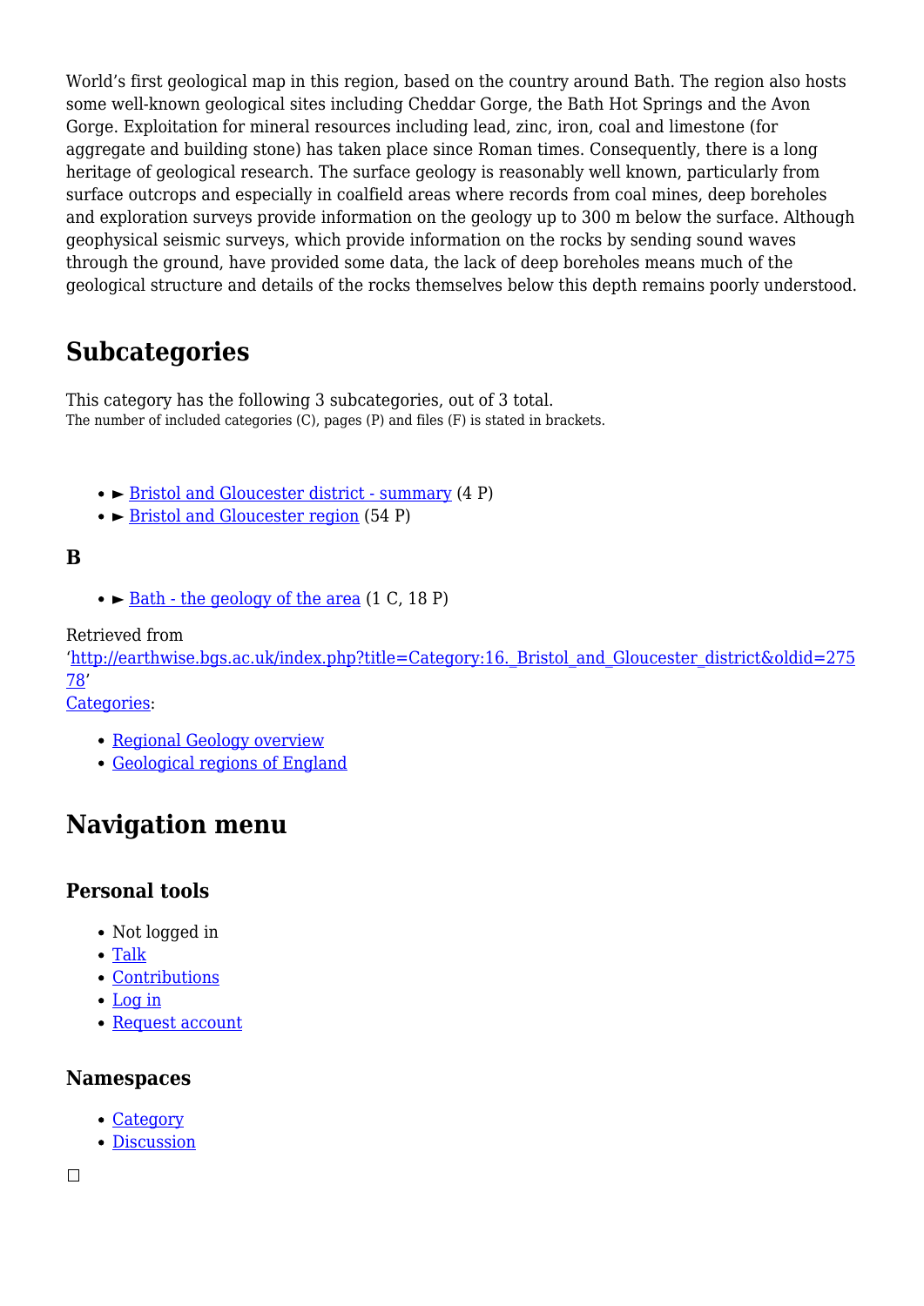World's first geological map in this region, based on the country around Bath. The region also hosts some well-known geological sites including Cheddar Gorge, the Bath Hot Springs and the Avon Gorge. Exploitation for mineral resources including lead, zinc, iron, coal and limestone (for aggregate and building stone) has taken place since Roman times. Consequently, there is a long heritage of geological research. The surface geology is reasonably well known, particularly from surface outcrops and especially in coalfield areas where records from coal mines, deep boreholes and exploration surveys provide information on the geology up to 300 m below the surface. Although geophysical seismic surveys, which provide information on the rocks by sending sound waves through the ground, have provided some data, the lack of deep boreholes means much of the geological structure and details of the rocks themselves below this depth remains poorly understood.

# **Subcategories**

This category has the following 3 subcategories, out of 3 total. The number of included categories (C), pages (P) and files (F) is stated in brackets.

- ► [Bristol and Gloucester district summary](http://earthwise.bgs.ac.uk/index.php/Category:Bristol_and_Gloucester_district_-_summary) (4 P)
- ► [Bristol and Gloucester region](http://earthwise.bgs.ac.uk/index.php/Category:Bristol_and_Gloucester_region) (54 P)

#### **B**

 $\bullet$   $\triangleright$  <u>[Bath - the geology of the area](http://earthwise.bgs.ac.uk/index.php/Category:Bath_-_the_geology_of_the_area)</u> (1 C, 18 P)

Retrieved from

'[http://earthwise.bgs.ac.uk/index.php?title=Category:16.\\_Bristol\\_and\\_Gloucester\\_district&oldid=275](http://earthwise.bgs.ac.uk/index.php?title=Category:16._Bristol_and_Gloucester_district&oldid=27578) [78](http://earthwise.bgs.ac.uk/index.php?title=Category:16._Bristol_and_Gloucester_district&oldid=27578)'

[Categories:](http://earthwise.bgs.ac.uk/index.php/Special:Categories)

- [Regional Geology overview](http://earthwise.bgs.ac.uk/index.php/Category:Regional_Geology_overview)
- [Geological regions of England](http://earthwise.bgs.ac.uk/index.php/Category:Geological_regions_of_England)

## **Navigation menu**

#### **Personal tools**

- Not logged in
- [Talk](http://earthwise.bgs.ac.uk/index.php/Special:MyTalk)
- [Contributions](http://earthwise.bgs.ac.uk/index.php/Special:MyContributions)
- [Log in](http://earthwise.bgs.ac.uk/index.php?title=Special:UserLogin&returnto=Category%3A16.+Bristol+and+Gloucester+district&returntoquery=action%3Dmpdf)
- [Request account](http://earthwise.bgs.ac.uk/index.php/Special:RequestAccount)

#### **Namespaces**

- [Category](http://earthwise.bgs.ac.uk/index.php/Category:16._Bristol_and_Gloucester_district)
- [Discussion](http://earthwise.bgs.ac.uk/index.php?title=Category_talk:16._Bristol_and_Gloucester_district&action=edit&redlink=1)